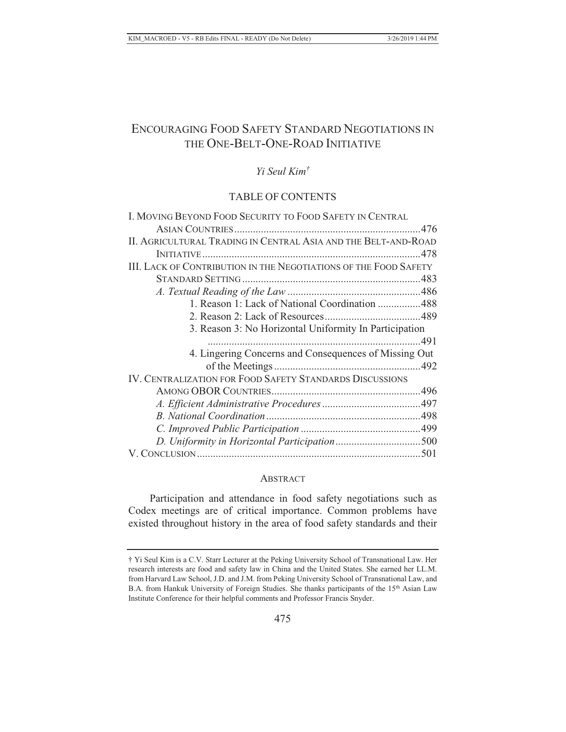# ENCOURAGING FOOD SAFETY STANDARD NEGOTIATIONS IN THE ONE-BELT-ONE-ROAD INITIATIVE

## *Yi Seul Kim†*

### TABLE OF CONTENTS

| I. MOVING BEYOND FOOD SECURITY TO FOOD SAFETY IN CENTRAL         |  |
|------------------------------------------------------------------|--|
|                                                                  |  |
| II. AGRICULTURAL TRADING IN CENTRAL ASIA AND THE BELT-AND-ROAD   |  |
|                                                                  |  |
| III. LACK OF CONTRIBUTION IN THE NEGOTIATIONS OF THE FOOD SAFETY |  |
|                                                                  |  |
|                                                                  |  |
| 1. Reason 1: Lack of National Coordination 488                   |  |
|                                                                  |  |
| 3. Reason 3: No Horizontal Uniformity In Participation           |  |
|                                                                  |  |
| 4. Lingering Concerns and Consequences of Missing Out            |  |
|                                                                  |  |
| <b>IV. CENTRALIZATION FOR FOOD SAFETY STANDARDS DISCUSSIONS</b>  |  |
|                                                                  |  |
|                                                                  |  |
|                                                                  |  |
|                                                                  |  |
|                                                                  |  |
|                                                                  |  |

#### **ABSTRACT**

Participation and attendance in food safety negotiations such as Codex meetings are of critical importance. Common problems have existed throughout history in the area of food safety standards and their

<sup>†</sup> Yi Seul Kim is a C.V. Starr Lecturer at the Peking University School of Transnational Law. Her research interests are food and safety law in China and the United States. She earned her LL.M. from Harvard Law School, J.D. and J.M. from Peking University School of Transnational Law, and B.A. from Hankuk University of Foreign Studies. She thanks participants of the 15<sup>th</sup> Asian Law Institute Conference for their helpful comments and Professor Francis Snyder.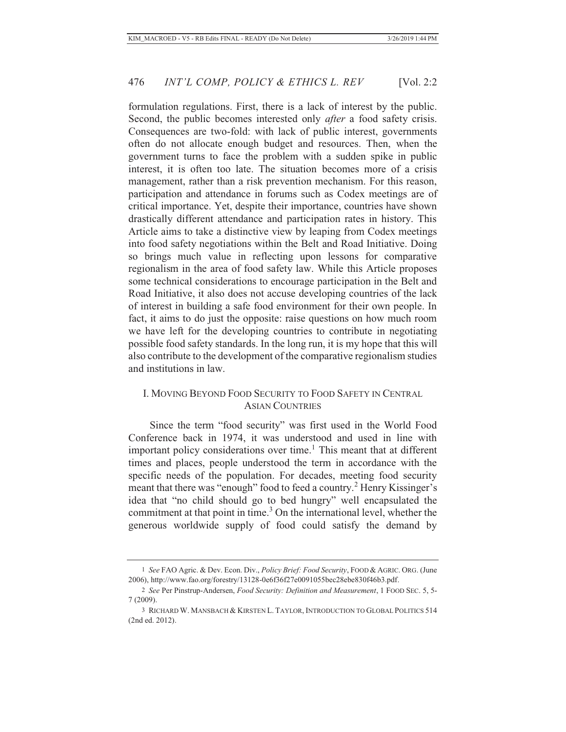formulation regulations. First, there is a lack of interest by the public. Second, the public becomes interested only *after* a food safety crisis. Consequences are two-fold: with lack of public interest, governments often do not allocate enough budget and resources. Then, when the government turns to face the problem with a sudden spike in public interest, it is often too late. The situation becomes more of a crisis management, rather than a risk prevention mechanism. For this reason, participation and attendance in forums such as Codex meetings are of critical importance. Yet, despite their importance, countries have shown drastically different attendance and participation rates in history. This Article aims to take a distinctive view by leaping from Codex meetings into food safety negotiations within the Belt and Road Initiative. Doing so brings much value in reflecting upon lessons for comparative regionalism in the area of food safety law. While this Article proposes some technical considerations to encourage participation in the Belt and Road Initiative, it also does not accuse developing countries of the lack of interest in building a safe food environment for their own people. In fact, it aims to do just the opposite: raise questions on how much room we have left for the developing countries to contribute in negotiating possible food safety standards. In the long run, it is my hope that this will also contribute to the development of the comparative regionalism studies and institutions in law.

### I. MOVING BEYOND FOOD SECURITY TO FOOD SAFETY IN CENTRAL ASIAN COUNTRIES

Since the term "food security" was first used in the World Food Conference back in 1974, it was understood and used in line with important policy considerations over time.<sup>1</sup> This meant that at different times and places, people understood the term in accordance with the specific needs of the population. For decades, meeting food security meant that there was "enough" food to feed a country.<sup>2</sup> Henry Kissinger's idea that "no child should go to bed hungry" well encapsulated the commitment at that point in time.<sup>3</sup> On the international level, whether the generous worldwide supply of food could satisfy the demand by

<sup>1</sup> *See* FAO Agric. & Dev. Econ. Div., *Policy Brief: Food Security*, FOOD & AGRIC. ORG. (June 2006), http://www.fao.org/forestry/13128-0e6f36f27e0091055bec28ebe830f46b3.pdf.

<sup>2</sup> *See* Per Pinstrup-Andersen, *Food Security: Definition and Measurement*, 1 FOOD SEC. 5, 5- 7 (2009).

<sup>3</sup> RICHARD W. MANSBACH & KIRSTEN L. TAYLOR, INTRODUCTION TO GLOBAL POLITICS 514 (2nd ed. 2012).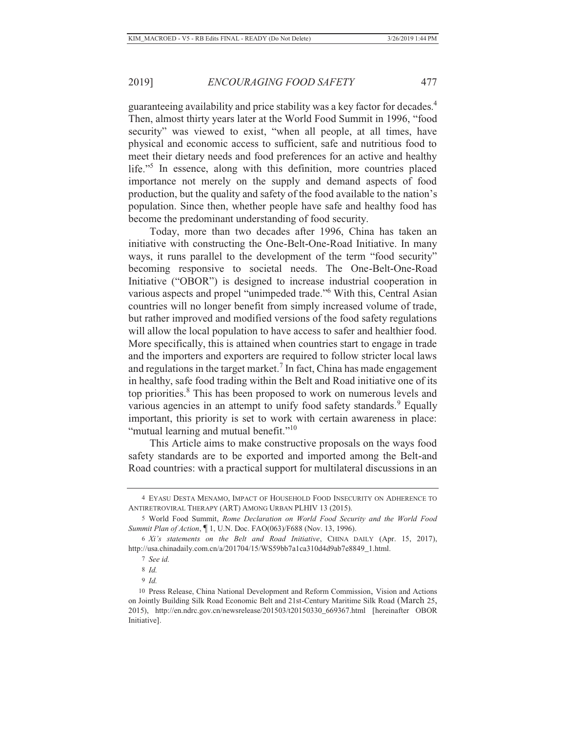guaranteeing availability and price stability was a key factor for decades.4 Then, almost thirty years later at the World Food Summit in 1996, "food security" was viewed to exist, "when all people, at all times, have physical and economic access to sufficient, safe and nutritious food to meet their dietary needs and food preferences for an active and healthy life."<sup>5</sup> In essence, along with this definition, more countries placed importance not merely on the supply and demand aspects of food production, but the quality and safety of the food available to the nation's population. Since then, whether people have safe and healthy food has become the predominant understanding of food security.

Today, more than two decades after 1996, China has taken an initiative with constructing the One-Belt-One-Road Initiative. In many ways, it runs parallel to the development of the term "food security" becoming responsive to societal needs. The One-Belt-One-Road Initiative ("OBOR") is designed to increase industrial cooperation in various aspects and propel "unimpeded trade."<sup>6</sup> With this, Central Asian countries will no longer benefit from simply increased volume of trade, but rather improved and modified versions of the food safety regulations will allow the local population to have access to safer and healthier food. More specifically, this is attained when countries start to engage in trade and the importers and exporters are required to follow stricter local laws and regulations in the target market.<sup>7</sup> In fact, China has made engagement in healthy, safe food trading within the Belt and Road initiative one of its top priorities.<sup>8</sup> This has been proposed to work on numerous levels and various agencies in an attempt to unify food safety standards.<sup>9</sup> Equally important, this priority is set to work with certain awareness in place: "mutual learning and mutual benefit."<sup>10</sup>

This Article aims to make constructive proposals on the ways food safety standards are to be exported and imported among the Belt-and Road countries: with a practical support for multilateral discussions in an

<sup>4</sup> EYASU DESTA MENAMO, IMPACT OF HOUSEHOLD FOOD INSECURITY ON ADHERENCE TO ANTIRETROVIRAL THERAPY (ART) AMONG URBAN PLHIV 13 (2015).

<sup>5</sup> World Food Summit, *Rome Declaration on World Food Security and the World Food Summit Plan of Action*, ¶ 1, U.N. Doc. FAO(063)/F688 (Nov. 13, 1996).

<sup>6</sup> *Xi's statements on the Belt and Road Initiative*, CHINA DAILY (Apr. 15, 2017), http://usa.chinadaily.com.cn/a/201704/15/WS59bb7a1ca310d4d9ab7e8849\_1.html.

<sup>7</sup> *See id.*

<sup>8</sup> *Id.*

<sup>9</sup> *Id.*

<sup>10</sup> Press Release, China National Development and Reform Commission, Vision and Actions on Jointly Building Silk Road Economic Belt and 21st-Century Maritime Silk Road (March 25, 2015), http://en.ndrc.gov.cn/newsrelease/201503/t20150330\_669367.html [hereinafter OBOR Initiative].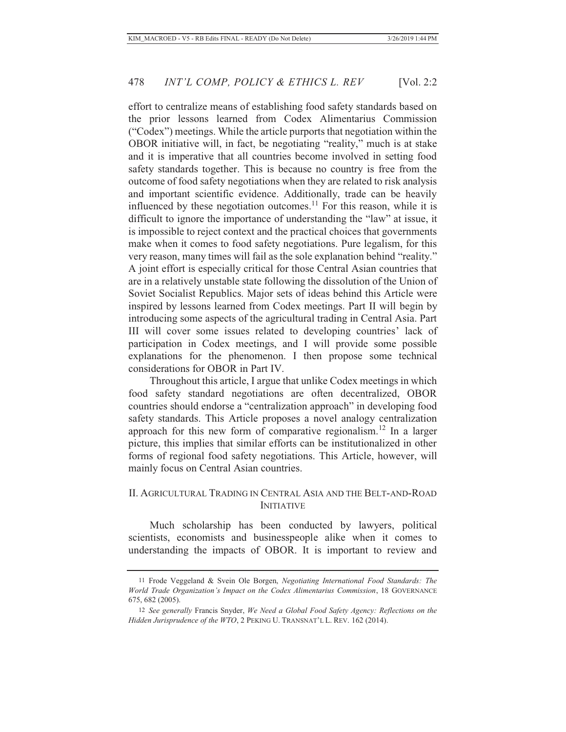effort to centralize means of establishing food safety standards based on the prior lessons learned from Codex Alimentarius Commission ("Codex") meetings. While the article purports that negotiation within the OBOR initiative will, in fact, be negotiating "reality," much is at stake and it is imperative that all countries become involved in setting food safety standards together. This is because no country is free from the outcome of food safety negotiations when they are related to risk analysis and important scientific evidence. Additionally, trade can be heavily influenced by these negotiation outcomes.<sup>11</sup> For this reason, while it is difficult to ignore the importance of understanding the "law" at issue, it is impossible to reject context and the practical choices that governments make when it comes to food safety negotiations. Pure legalism, for this very reason, many times will fail as the sole explanation behind "reality." A joint effort is especially critical for those Central Asian countries that are in a relatively unstable state following the dissolution of the Union of Soviet Socialist Republics. Major sets of ideas behind this Article were inspired by lessons learned from Codex meetings. Part II will begin by introducing some aspects of the agricultural trading in Central Asia. Part III will cover some issues related to developing countries' lack of participation in Codex meetings, and I will provide some possible explanations for the phenomenon. I then propose some technical considerations for OBOR in Part IV.

Throughout this article, I argue that unlike Codex meetings in which food safety standard negotiations are often decentralized, OBOR countries should endorse a "centralization approach" in developing food safety standards. This Article proposes a novel analogy centralization approach for this new form of comparative regionalism.12 In a larger picture, this implies that similar efforts can be institutionalized in other forms of regional food safety negotiations. This Article, however, will mainly focus on Central Asian countries.

### II. AGRICULTURAL TRADING IN CENTRAL ASIA AND THE BELT-AND-ROAD INITIATIVE

Much scholarship has been conducted by lawyers, political scientists, economists and businesspeople alike when it comes to understanding the impacts of OBOR. It is important to review and

<sup>11</sup> Frode Veggeland & Svein Ole Borgen, *Negotiating International Food Standards: The World Trade Organization's Impact on the Codex Alimentarius Commission*, 18 GOVERNANCE 675, 682 (2005).

<sup>12</sup> *See generally* Francis Snyder, *We Need a Global Food Safety Agency: Reflections on the Hidden Jurisprudence of the WTO*, 2 PEKING U. TRANSNAT'L L. REV. 162 (2014).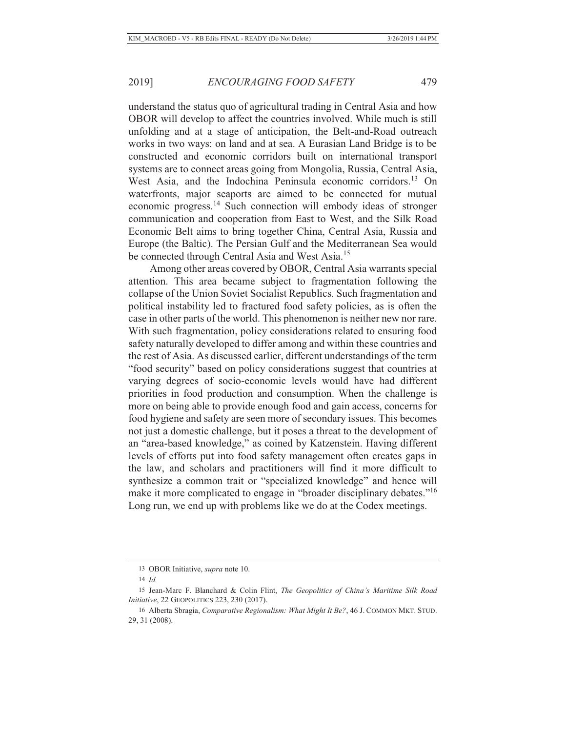understand the status quo of agricultural trading in Central Asia and how OBOR will develop to affect the countries involved. While much is still unfolding and at a stage of anticipation, the Belt-and-Road outreach works in two ways: on land and at sea. A Eurasian Land Bridge is to be constructed and economic corridors built on international transport systems are to connect areas going from Mongolia, Russia, Central Asia, West Asia, and the Indochina Peninsula economic corridors.<sup>13</sup> On waterfronts, major seaports are aimed to be connected for mutual economic progress.14 Such connection will embody ideas of stronger communication and cooperation from East to West, and the Silk Road Economic Belt aims to bring together China, Central Asia, Russia and Europe (the Baltic). The Persian Gulf and the Mediterranean Sea would be connected through Central Asia and West Asia.<sup>15</sup>

Among other areas covered by OBOR, Central Asia warrants special attention. This area became subject to fragmentation following the collapse of the Union Soviet Socialist Republics. Such fragmentation and political instability led to fractured food safety policies, as is often the case in other parts of the world. This phenomenon is neither new nor rare. With such fragmentation, policy considerations related to ensuring food safety naturally developed to differ among and within these countries and the rest of Asia. As discussed earlier, different understandings of the term "food security" based on policy considerations suggest that countries at varying degrees of socio-economic levels would have had different priorities in food production and consumption. When the challenge is more on being able to provide enough food and gain access, concerns for food hygiene and safety are seen more of secondary issues. This becomes not just a domestic challenge, but it poses a threat to the development of an "area-based knowledge," as coined by Katzenstein. Having different levels of efforts put into food safety management often creates gaps in the law, and scholars and practitioners will find it more difficult to synthesize a common trait or "specialized knowledge" and hence will make it more complicated to engage in "broader disciplinary debates."<sup>16</sup> Long run, we end up with problems like we do at the Codex meetings.

<sup>13</sup> OBOR Initiative, *supra* note 10.

<sup>14</sup> *Id.*

<sup>15</sup> Jean-Marc F. Blanchard & Colin Flint, *The Geopolitics of China's Maritime Silk Road Initiative*, 22 GEOPOLITICS 223, 230 (2017).

<sup>16</sup> Alberta Sbragia, *Comparative Regionalism: What Might It Be?*, 46 J. COMMON MKT. STUD. 29, 31 (2008).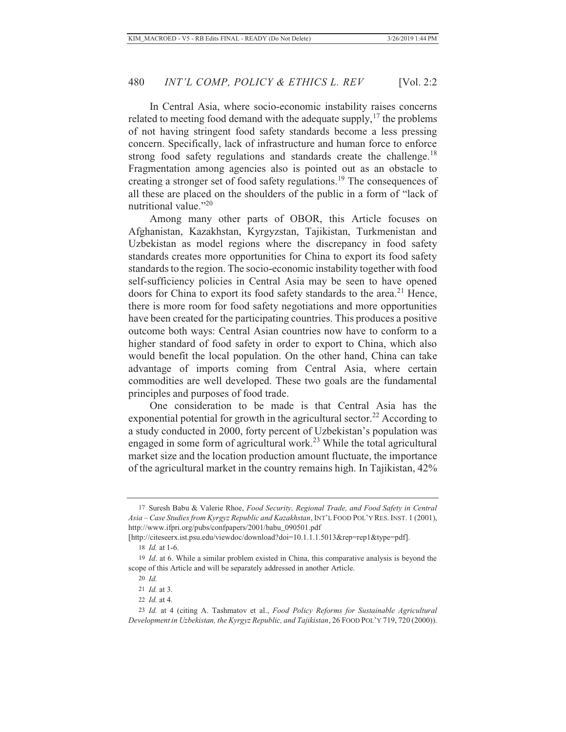In Central Asia, where socio-economic instability raises concerns related to meeting food demand with the adequate supply,  $17$  the problems of not having stringent food safety standards become a less pressing concern. Specifically, lack of infrastructure and human force to enforce strong food safety regulations and standards create the challenge.<sup>18</sup> Fragmentation among agencies also is pointed out as an obstacle to creating a stronger set of food safety regulations.19 The consequences of all these are placed on the shoulders of the public in a form of "lack of nutritional value."<sup>20</sup>

Among many other parts of OBOR, this Article focuses on Afghanistan, Kazakhstan, Kyrgyzstan, Tajikistan, Turkmenistan and Uzbekistan as model regions where the discrepancy in food safety standards creates more opportunities for China to export its food safety standards to the region. The socio-economic instability together with food self-sufficiency policies in Central Asia may be seen to have opened doors for China to export its food safety standards to the area.<sup>21</sup> Hence, there is more room for food safety negotiations and more opportunities have been created for the participating countries. This produces a positive outcome both ways: Central Asian countries now have to conform to a higher standard of food safety in order to export to China, which also would benefit the local population. On the other hand, China can take advantage of imports coming from Central Asia, where certain commodities are well developed. These two goals are the fundamental principles and purposes of food trade.

One consideration to be made is that Central Asia has the exponential potential for growth in the agricultural sector.<sup>22</sup> According to a study conducted in 2000, forty percent of Uzbekistan's population was engaged in some form of agricultural work.<sup>23</sup> While the total agricultural market size and the location production amount fluctuate, the importance of the agricultural market in the country remains high. In Tajikistan, 42%

<sup>17</sup> Suresh Babu & Valerie Rhoe, *Food Security, Regional Trade, and Food Safety in Central Asia – Case Studies from Kyrgyz Republic and Kazakhstan*, INT'L FOOD POL'Y RES. INST. 1 (2001), http://www.ifpri.org/pubs/confpapers/2001/babu\_090501.pdf

<sup>[</sup>http://citeseerx.ist.psu.edu/viewdoc/download?doi=10.1.1.1.5013&rep=rep1&type=pdf].

<sup>18</sup> *Id.* at 1-6.

<sup>19</sup> *Id*. at 6. While a similar problem existed in China, this comparative analysis is beyond the scope of this Article and will be separately addressed in another Article.

<sup>20</sup> *Id.*

<sup>21</sup> *Id.* at 3.

<sup>22</sup> *Id.* at 4.

<sup>23</sup> *Id.* at 4 (citing A. Tashmatov et al., *Food Policy Reforms for Sustainable Agricultural Development in Uzbekistan, the Kyrgyz Republic, and Tajikistan*, 26 FOOD POL'Y 719, 720 (2000)).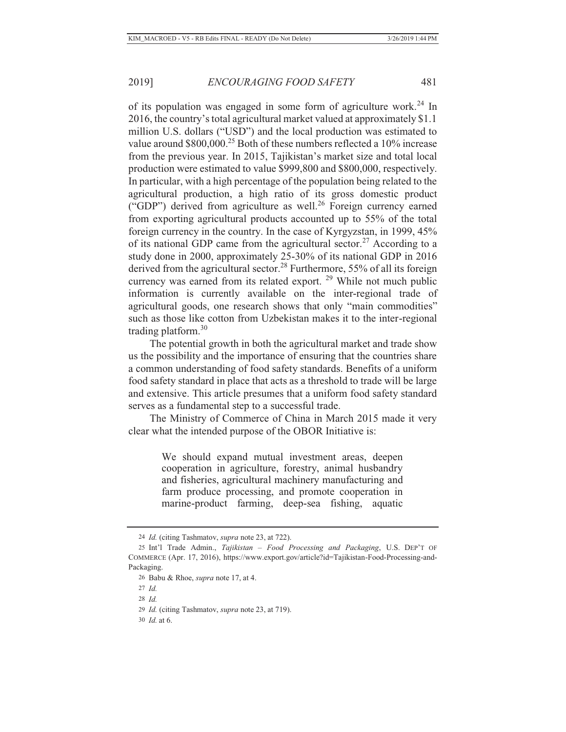of its population was engaged in some form of agriculture work.<sup>24</sup> In 2016, the country's total agricultural market valued at approximately \$1.1 million U.S. dollars ("USD") and the local production was estimated to value around \$800,000.<sup>25</sup> Both of these numbers reflected a 10% increase from the previous year. In 2015, Tajikistan's market size and total local production were estimated to value \$999,800 and \$800,000, respectively. In particular, with a high percentage of the population being related to the agricultural production, a high ratio of its gross domestic product ("GDP") derived from agriculture as well.<sup>26</sup> Foreign currency earned from exporting agricultural products accounted up to 55% of the total foreign currency in the country. In the case of Kyrgyzstan, in 1999, 45% of its national GDP came from the agricultural sector.<sup>27</sup> According to a study done in 2000, approximately 25-30% of its national GDP in 2016 derived from the agricultural sector.<sup>28</sup> Furthermore, 55% of all its foreign currency was earned from its related export.<sup>29</sup> While not much public information is currently available on the inter-regional trade of agricultural goods, one research shows that only "main commodities" such as those like cotton from Uzbekistan makes it to the inter-regional trading platform. $30$ 

The potential growth in both the agricultural market and trade show us the possibility and the importance of ensuring that the countries share a common understanding of food safety standards. Benefits of a uniform food safety standard in place that acts as a threshold to trade will be large and extensive. This article presumes that a uniform food safety standard serves as a fundamental step to a successful trade.

The Ministry of Commerce of China in March 2015 made it very clear what the intended purpose of the OBOR Initiative is:

> We should expand mutual investment areas, deepen cooperation in agriculture, forestry, animal husbandry and fisheries, agricultural machinery manufacturing and farm produce processing, and promote cooperation in marine-product farming, deep-sea fishing, aquatic

<sup>24</sup> *Id.* (citing Tashmatov, *supra* note 23, at 722).

<sup>25</sup> Int'l Trade Admin., *Tajikistan – Food Processing and Packaging*, U.S. DEP'T OF COMMERCE (Apr. 17, 2016), https://www.export.gov/article?id=Tajikistan-Food-Processing-and-Packaging.

<sup>26</sup> Babu & Rhoe, *supra* note 17, at 4.

<sup>27</sup> *Id.*

<sup>28</sup> *Id.*

<sup>29</sup> *Id.* (citing Tashmatov, *supra* note 23, at 719).

<sup>30</sup> *Id.* at 6.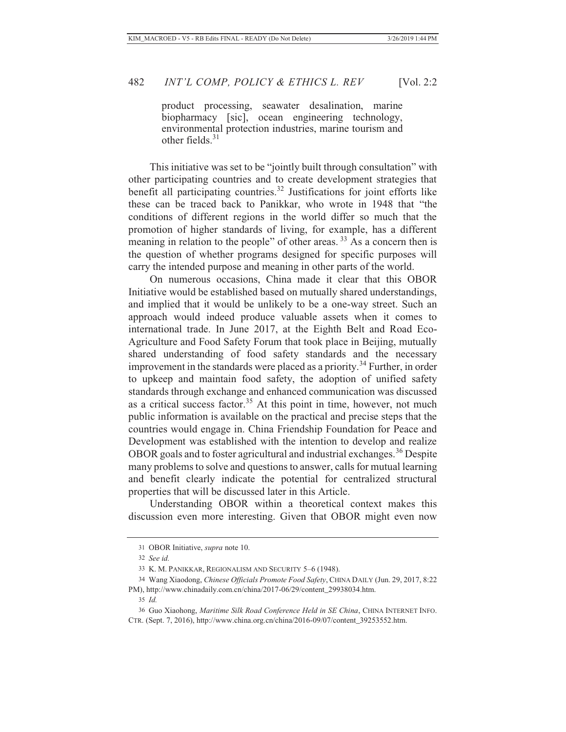product processing, seawater desalination, marine biopharmacy [sic], ocean engineering technology, environmental protection industries, marine tourism and other fields $31$ 

This initiative was set to be "jointly built through consultation" with other participating countries and to create development strategies that benefit all participating countries.<sup>32</sup> Justifications for joint efforts like these can be traced back to Panikkar, who wrote in 1948 that "the conditions of different regions in the world differ so much that the promotion of higher standards of living, for example, has a different meaning in relation to the people" of other areas. 33 As a concern then is the question of whether programs designed for specific purposes will carry the intended purpose and meaning in other parts of the world.

On numerous occasions, China made it clear that this OBOR Initiative would be established based on mutually shared understandings, and implied that it would be unlikely to be a one-way street. Such an approach would indeed produce valuable assets when it comes to international trade. In June 2017, at the Eighth Belt and Road Eco-Agriculture and Food Safety Forum that took place in Beijing, mutually shared understanding of food safety standards and the necessary improvement in the standards were placed as a priority.<sup>34</sup> Further, in order to upkeep and maintain food safety, the adoption of unified safety standards through exchange and enhanced communication was discussed as a critical success factor.<sup>35</sup> At this point in time, however, not much public information is available on the practical and precise steps that the countries would engage in. China Friendship Foundation for Peace and Development was established with the intention to develop and realize OBOR goals and to foster agricultural and industrial exchanges.<sup>36</sup> Despite many problems to solve and questions to answer, calls for mutual learning and benefit clearly indicate the potential for centralized structural properties that will be discussed later in this Article.

Understanding OBOR within a theoretical context makes this discussion even more interesting. Given that OBOR might even now

<sup>31</sup> OBOR Initiative, *supra* note 10.

<sup>32</sup> *See id.*

<sup>33</sup> K. M. PANIKKAR, REGIONALISM AND SECURITY 5–6 (1948).

<sup>34</sup> Wang Xiaodong, *Chinese Officials Promote Food Safety*, CHINA DAILY (Jun. 29, 2017, 8:22 PM), http://www.chinadaily.com.cn/china/2017-06/29/content\_29938034.htm.

<sup>35</sup> *Id.*

<sup>36</sup> Guo Xiaohong, *Maritime Silk Road Conference Held in SE China*, CHINA INTERNET INFO. CTR. (Sept. 7, 2016), http://www.china.org.cn/china/2016-09/07/content\_39253552.htm.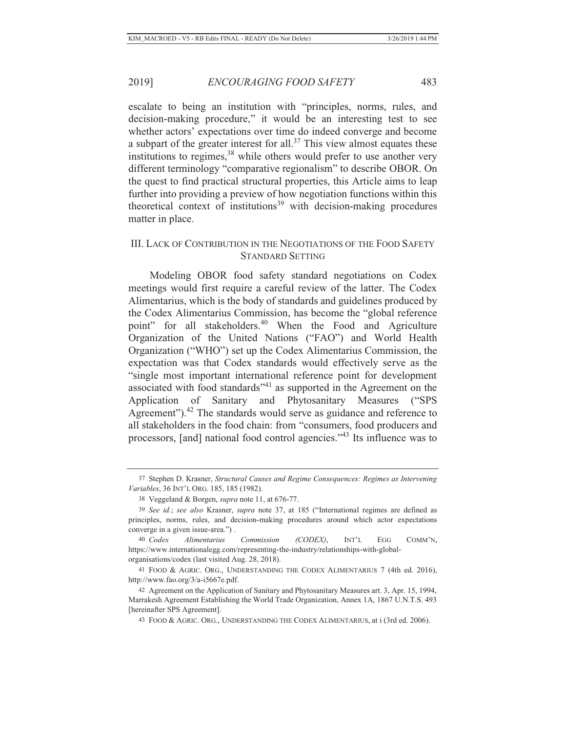escalate to being an institution with "principles, norms, rules, and decision-making procedure," it would be an interesting test to see whether actors' expectations over time do indeed converge and become a subpart of the greater interest for all.<sup>37</sup> This view almost equates these institutions to regimes,  $38$  while others would prefer to use another very different terminology "comparative regionalism" to describe OBOR. On the quest to find practical structural properties, this Article aims to leap further into providing a preview of how negotiation functions within this theoretical context of institutions<sup>39</sup> with decision-making procedures matter in place.

### III. LACK OF CONTRIBUTION IN THE NEGOTIATIONS OF THE FOOD SAFETY STANDARD SETTING

Modeling OBOR food safety standard negotiations on Codex meetings would first require a careful review of the latter. The Codex Alimentarius, which is the body of standards and guidelines produced by the Codex Alimentarius Commission, has become the "global reference point" for all stakeholders.<sup>40</sup> When the Food and Agriculture Organization of the United Nations ("FAO") and World Health Organization ("WHO") set up the Codex Alimentarius Commission, the expectation was that Codex standards would effectively serve as the "single most important international reference point for development associated with food standards"41 as supported in the Agreement on the Application of Sanitary and Phytosanitary Measures ("SPS Agreement").<sup>42</sup> The standards would serve as guidance and reference to all stakeholders in the food chain: from "consumers, food producers and processors, [and] national food control agencies."43 Its influence was to

<sup>37</sup> Stephen D. Krasner, *Structural Causes and Regime Consequences: Regimes as Intervening Variables*, 36 INT'L ORG. 185, 185 (1982).

<sup>38</sup> Veggeland & Borgen, *supra* note 11, at 676-77.

<sup>39</sup> *See id.*; *see also* Krasner, *supra* note 37, at 185 ("International regimes are defined as principles, norms, rules, and decision-making procedures around which actor expectations converge in a given issue-area.") .

<sup>40</sup> *Codex Alimentarius Commission (CODEX)*, INT'L EGG COMM'N, https://www.internationalegg.com/representing-the-industry/relationships-with-globalorganisations/codex (last visited Aug. 28, 2018).

<sup>41</sup> FOOD & AGRIC. ORG., UNDERSTANDING THE CODEX ALIMENTARIUS 7 (4th ed. 2016), http://www.fao.org/3/a-i5667e.pdf.

<sup>42</sup> Agreement on the Application of Sanitary and Phytosanitary Measures art. 3, Apr. 15, 1994, Marrakesh Agreement Establishing the World Trade Organization, Annex 1A, 1867 U.N.T.S. 493 [hereinafter SPS Agreement].

<sup>43</sup> FOOD & AGRIC. ORG., UNDERSTANDING THE CODEX ALIMENTARIUS, at i (3rd ed. 2006).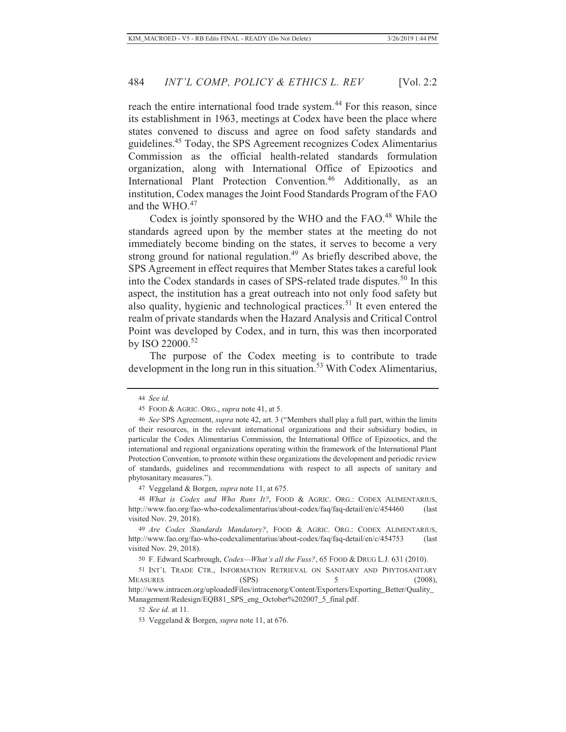reach the entire international food trade system.<sup>44</sup> For this reason, since its establishment in 1963, meetings at Codex have been the place where states convened to discuss and agree on food safety standards and guidelines.45 Today, the SPS Agreement recognizes Codex Alimentarius Commission as the official health-related standards formulation organization, along with International Office of Epizootics and International Plant Protection Convention.<sup>46</sup> Additionally, as an institution, Codex manages the Joint Food Standards Program of the FAO and the WHO. $47$ 

Codex is jointly sponsored by the WHO and the FAO.<sup>48</sup> While the standards agreed upon by the member states at the meeting do not immediately become binding on the states, it serves to become a very strong ground for national regulation.<sup>49</sup> As briefly described above, the SPS Agreement in effect requires that Member States takes a careful look into the Codex standards in cases of SPS-related trade disputes.<sup>50</sup> In this aspect, the institution has a great outreach into not only food safety but also quality, hygienic and technological practices.<sup>51</sup> It even entered the realm of private standards when the Hazard Analysis and Critical Control Point was developed by Codex, and in turn, this was then incorporated by ISO 22000.<sup>52</sup>

The purpose of the Codex meeting is to contribute to trade development in the long run in this situation.<sup>53</sup> With Codex Alimentarius,

<sup>44</sup> *See id.*

<sup>45</sup> FOOD & AGRIC. ORG., *supra* note 41, at 5.

<sup>46</sup> *See* SPS Agreement, *supra* note 42, art. 3 ("Members shall play a full part, within the limits of their resources, in the relevant international organizations and their subsidiary bodies, in particular the Codex Alimentarius Commission, the International Office of Epizootics, and the international and regional organizations operating within the framework of the International Plant Protection Convention, to promote within these organizations the development and periodic review of standards, guidelines and recommendations with respect to all aspects of sanitary and phytosanitary measures.").

<sup>47</sup> Veggeland & Borgen, *supra* note 11, at 675.

<sup>48</sup> *What is Codex and Who Runs It?*, FOOD & AGRIC. ORG.: CODEX ALIMENTARIUS, http://www.fao.org/fao-who-codexalimentarius/about-codex/faq/faq-detail/en/c/454460 (last visited Nov. 29, 2018).

<sup>49</sup> *Are Codex Standards Mandatory?*, FOOD & AGRIC. ORG.: CODEX ALIMENTARIUS, http://www.fao.org/fao-who-codexalimentarius/about-codex/faq/faq-detail/en/c/454753 (last visited Nov. 29, 2018).

<sup>50</sup> F. Edward Scarbrough, *Codex—What's all the Fuss?*, 65 FOOD & DRUG L.J. 631 (2010).

<sup>51</sup> INT'L TRADE CTR., INFORMATION RETRIEVAL ON SANITARY AND PHYTOSANITARY MEASURES (SPS) 5 (2008),

http://www.intracen.org/uploadedFiles/intracenorg/Content/Exporters/Exporting\_Better/Quality\_ Management/Redesign/EQB81\_SPS\_eng\_October%202007\_5\_final.pdf.

<sup>52</sup> *See id.* at 11.

<sup>53</sup> Veggeland & Borgen, *supra* note 11, at 676.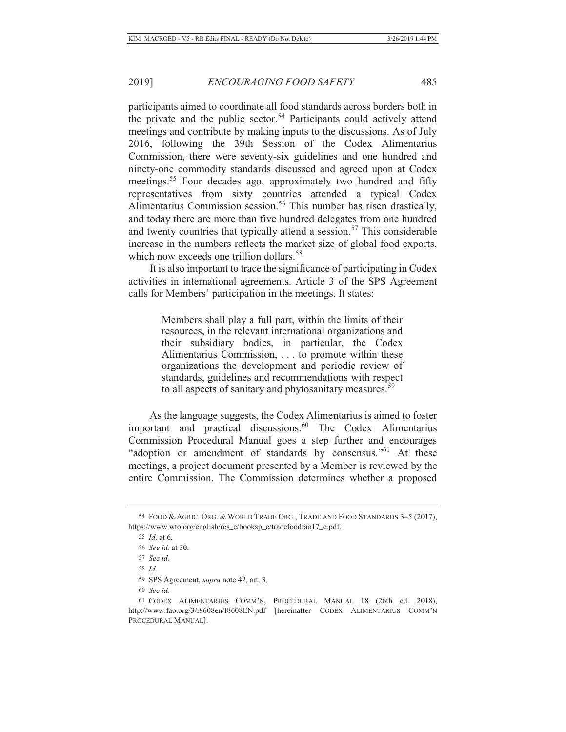participants aimed to coordinate all food standards across borders both in the private and the public sector.<sup>54</sup> Participants could actively attend meetings and contribute by making inputs to the discussions. As of July 2016, following the 39th Session of the Codex Alimentarius Commission, there were seventy-six guidelines and one hundred and ninety-one commodity standards discussed and agreed upon at Codex meetings.<sup>55</sup> Four decades ago, approximately two hundred and fifty representatives from sixty countries attended a typical Codex Alimentarius Commission session.<sup>56</sup> This number has risen drastically, and today there are more than five hundred delegates from one hundred and twenty countries that typically attend a session.<sup>57</sup> This considerable increase in the numbers reflects the market size of global food exports, which now exceeds one trillion dollars.<sup>58</sup>

It is also important to trace the significance of participating in Codex activities in international agreements. Article 3 of the SPS Agreement calls for Members' participation in the meetings. It states:

> Members shall play a full part, within the limits of their resources, in the relevant international organizations and their subsidiary bodies, in particular, the Codex Alimentarius Commission, . . . to promote within these organizations the development and periodic review of standards, guidelines and recommendations with respect to all aspects of sanitary and phytosanitary measures.<sup>59</sup>

As the language suggests, the Codex Alimentarius is aimed to foster important and practical discussions.<sup>60</sup> The Codex Alimentarius Commission Procedural Manual goes a step further and encourages "adoption or amendment of standards by consensus."<sup>61</sup> At these meetings, a project document presented by a Member is reviewed by the entire Commission. The Commission determines whether a proposed

<sup>54</sup> FOOD & AGRIC. ORG. & WORLD TRADE ORG., TRADE AND FOOD STANDARDS 3–5 (2017), https://www.wto.org/english/res\_e/booksp\_e/tradefoodfao17\_e.pdf.

<sup>55</sup> *Id*. at 6.

<sup>56</sup> *See id.* at 30.

<sup>57</sup> *See id.*

<sup>58</sup> *Id.*

<sup>59</sup> SPS Agreement, *supra* note 42, art. 3.

<sup>60</sup> *See id.*

<sup>61</sup> CODEX ALIMENTARIUS COMM'N, PROCEDURAL MANUAL 18 (26th ed. 2018), http://www.fao.org/3/i8608en/I8608EN.pdf [hereinafter CODEX ALIMENTARIUS COMM'N PROCEDURAL MANUAL].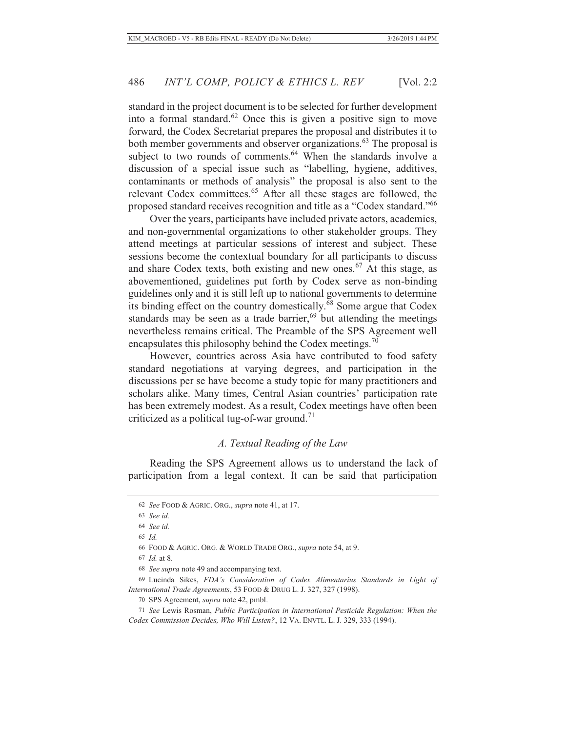standard in the project document is to be selected for further development into a formal standard.<sup>62</sup> Once this is given a positive sign to move forward, the Codex Secretariat prepares the proposal and distributes it to both member governments and observer organizations.<sup>63</sup> The proposal is subject to two rounds of comments.<sup>64</sup> When the standards involve a discussion of a special issue such as "labelling, hygiene, additives, contaminants or methods of analysis" the proposal is also sent to the relevant Codex committees.<sup>65</sup> After all these stages are followed, the proposed standard receives recognition and title as a "Codex standard."<sup>66</sup>

Over the years, participants have included private actors, academics, and non-governmental organizations to other stakeholder groups. They attend meetings at particular sessions of interest and subject. These sessions become the contextual boundary for all participants to discuss and share Codex texts, both existing and new ones.<sup>67</sup> At this stage, as abovementioned, guidelines put forth by Codex serve as non-binding guidelines only and it is still left up to national governments to determine its binding effect on the country domestically.<sup>68</sup> Some argue that Codex standards may be seen as a trade barrier,<sup>69</sup> but attending the meetings nevertheless remains critical. The Preamble of the SPS Agreement well encapsulates this philosophy behind the Codex meetings.<sup>70</sup>

However, countries across Asia have contributed to food safety standard negotiations at varying degrees, and participation in the discussions per se have become a study topic for many practitioners and scholars alike. Many times, Central Asian countries' participation rate has been extremely modest. As a result, Codex meetings have often been criticized as a political tug-of-war ground.<sup>71</sup>

#### *A. Textual Reading of the Law*

Reading the SPS Agreement allows us to understand the lack of participation from a legal context. It can be said that participation

<sup>62</sup> *See* FOOD & AGRIC. ORG., *supra* note 41, at 17.

<sup>63</sup> *See id.*

<sup>64</sup> *See id.*

<sup>65</sup> *Id.*

<sup>66</sup> FOOD & AGRIC. ORG. & WORLD TRADE ORG., *supra* note 54, at 9.

<sup>67</sup> *Id.* at 8.

<sup>68</sup> *See supra* note 49 and accompanying text.

<sup>69</sup> Lucinda Sikes, *FDA's Consideration of Codex Alimentarius Standards in Light of International Trade Agreements*, 53 FOOD & DRUG L. J. 327, 327 (1998).

<sup>70</sup> SPS Agreement, *supra* note 42, pmbl.

<sup>71</sup> *See* Lewis Rosman, *Public Participation in International Pesticide Regulation: When the Codex Commission Decides, Who Will Listen?*, 12 VA. ENVTL. L. J. 329, 333 (1994).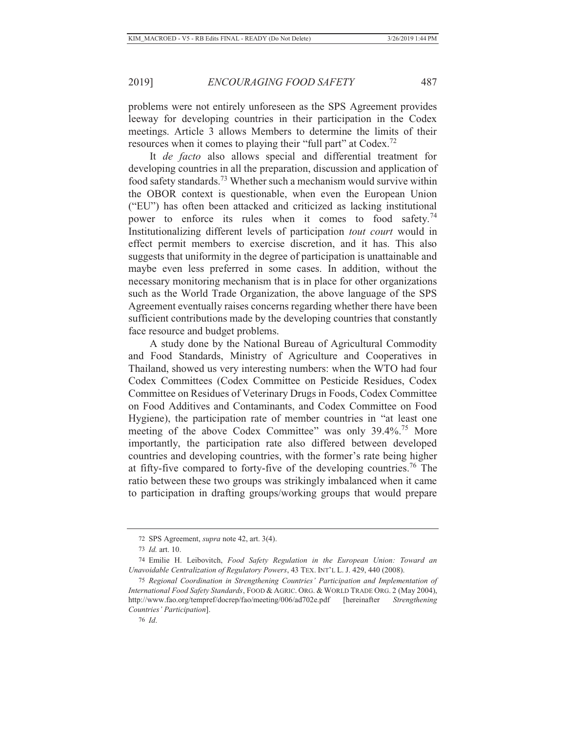problems were not entirely unforeseen as the SPS Agreement provides leeway for developing countries in their participation in the Codex meetings. Article 3 allows Members to determine the limits of their resources when it comes to playing their "full part" at Codex.72

It *de facto* also allows special and differential treatment for developing countries in all the preparation, discussion and application of food safety standards.73 Whether such a mechanism would survive within the OBOR context is questionable, when even the European Union ("EU") has often been attacked and criticized as lacking institutional power to enforce its rules when it comes to food safety.<sup>74</sup> Institutionalizing different levels of participation *tout court* would in effect permit members to exercise discretion, and it has. This also suggests that uniformity in the degree of participation is unattainable and maybe even less preferred in some cases. In addition, without the necessary monitoring mechanism that is in place for other organizations such as the World Trade Organization, the above language of the SPS Agreement eventually raises concerns regarding whether there have been sufficient contributions made by the developing countries that constantly face resource and budget problems.

A study done by the National Bureau of Agricultural Commodity and Food Standards, Ministry of Agriculture and Cooperatives in Thailand, showed us very interesting numbers: when the WTO had four Codex Committees (Codex Committee on Pesticide Residues, Codex Committee on Residues of Veterinary Drugs in Foods, Codex Committee on Food Additives and Contaminants, and Codex Committee on Food Hygiene), the participation rate of member countries in "at least one meeting of the above Codex Committee" was only 39.4%.<sup>75</sup> More importantly, the participation rate also differed between developed countries and developing countries, with the former's rate being higher at fifty-five compared to forty-five of the developing countries.<sup>76</sup> The ratio between these two groups was strikingly imbalanced when it came to participation in drafting groups/working groups that would prepare

<sup>72</sup> SPS Agreement, *supra* note 42, art. 3(4).

<sup>73</sup> *Id.* art. 10.

<sup>74</sup> Emilie H. Leibovitch, *Food Safety Regulation in the European Union: Toward an Unavoidable Centralization of Regulatory Powers*, 43 TEX. INT'L L. J. 429, 440 (2008).

<sup>75</sup> *Regional Coordination in Strengthening Countries' Participation and Implementation of International Food Safety Standards*, FOOD & AGRIC. ORG. & WORLD TRADE ORG. 2 (May 2004), http://www.fao.org/tempref/docrep/fao/meeting/006/ad702e.pdf [hereinafter *Strengthening Countries' Participation*].

<sup>76</sup> *Id*.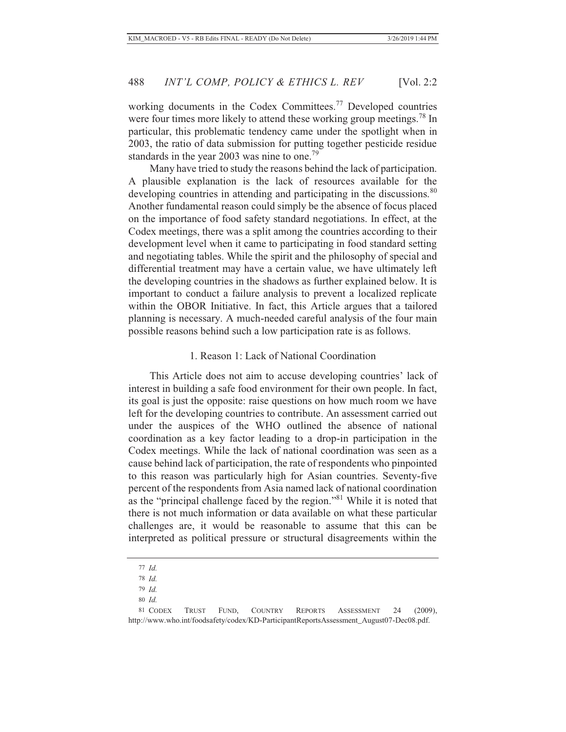working documents in the Codex Committees.<sup>77</sup> Developed countries were four times more likely to attend these working group meetings.<sup>78</sup> In particular, this problematic tendency came under the spotlight when in 2003, the ratio of data submission for putting together pesticide residue standards in the year 2003 was nine to one.<sup>79</sup>

Many have tried to study the reasons behind the lack of participation. A plausible explanation is the lack of resources available for the developing countries in attending and participating in the discussions.<sup>80</sup> Another fundamental reason could simply be the absence of focus placed on the importance of food safety standard negotiations. In effect, at the Codex meetings, there was a split among the countries according to their development level when it came to participating in food standard setting and negotiating tables. While the spirit and the philosophy of special and differential treatment may have a certain value, we have ultimately left the developing countries in the shadows as further explained below. It is important to conduct a failure analysis to prevent a localized replicate within the OBOR Initiative. In fact, this Article argues that a tailored planning is necessary. A much-needed careful analysis of the four main possible reasons behind such a low participation rate is as follows.

#### 1. Reason 1: Lack of National Coordination

This Article does not aim to accuse developing countries' lack of interest in building a safe food environment for their own people. In fact, its goal is just the opposite: raise questions on how much room we have left for the developing countries to contribute. An assessment carried out under the auspices of the WHO outlined the absence of national coordination as a key factor leading to a drop-in participation in the Codex meetings. While the lack of national coordination was seen as a cause behind lack of participation, the rate of respondents who pinpointed to this reason was particularly high for Asian countries. Seventy-five percent of the respondents from Asia named lack of national coordination as the "principal challenge faced by the region."81 While it is noted that there is not much information or data available on what these particular challenges are, it would be reasonable to assume that this can be interpreted as political pressure or structural disagreements within the

<sup>77</sup> *Id.*

<sup>78</sup> *Id.*

<sup>79</sup> *Id.*

<sup>80</sup> *Id.*

<sup>81</sup> CODEX TRUST FUND, COUNTRY REPORTS ASSESSMENT 24 (2009), http://www.who.int/foodsafety/codex/KD-ParticipantReportsAssessment\_August07-Dec08.pdf.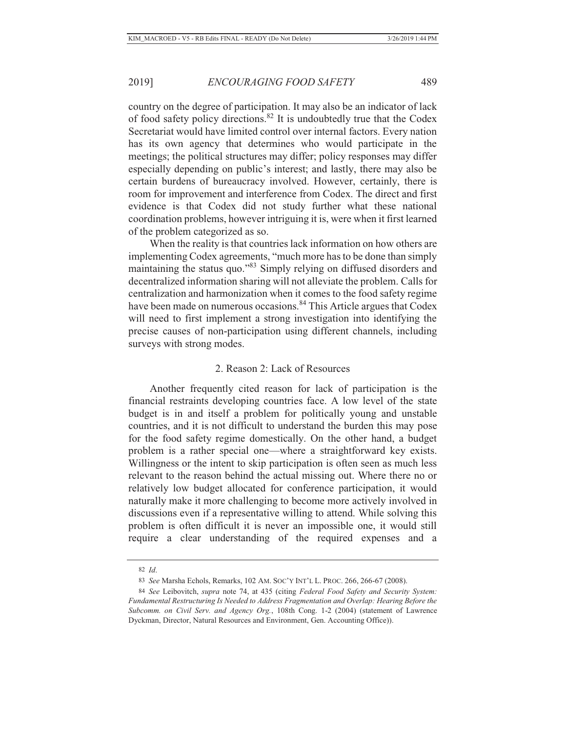country on the degree of participation. It may also be an indicator of lack of food safety policy directions.82 It is undoubtedly true that the Codex Secretariat would have limited control over internal factors. Every nation has its own agency that determines who would participate in the meetings; the political structures may differ; policy responses may differ especially depending on public's interest; and lastly, there may also be certain burdens of bureaucracy involved. However, certainly, there is room for improvement and interference from Codex. The direct and first evidence is that Codex did not study further what these national coordination problems, however intriguing it is, were when it first learned of the problem categorized as so.

When the reality is that countries lack information on how others are implementing Codex agreements, "much more has to be done than simply maintaining the status quo."83 Simply relying on diffused disorders and decentralized information sharing will not alleviate the problem. Calls for centralization and harmonization when it comes to the food safety regime have been made on numerous occasions.<sup>84</sup> This Article argues that Codex will need to first implement a strong investigation into identifying the precise causes of non-participation using different channels, including surveys with strong modes.

#### 2. Reason 2: Lack of Resources

Another frequently cited reason for lack of participation is the financial restraints developing countries face. A low level of the state budget is in and itself a problem for politically young and unstable countries, and it is not difficult to understand the burden this may pose for the food safety regime domestically. On the other hand, a budget problem is a rather special one—where a straightforward key exists. Willingness or the intent to skip participation is often seen as much less relevant to the reason behind the actual missing out. Where there no or relatively low budget allocated for conference participation, it would naturally make it more challenging to become more actively involved in discussions even if a representative willing to attend. While solving this problem is often difficult it is never an impossible one, it would still require a clear understanding of the required expenses and a

<sup>82</sup> *Id*.

<sup>83</sup> *See* Marsha Echols, Remarks, 102 AM. SOC'Y INT'L L. PROC. 266, 266-67 (2008).

<sup>84</sup> *See* Leibovitch, *supra* note 74, at 435 (citing *Federal Food Safety and Security System: Fundamental Restructuring Is Needed to Address Fragmentation and Overlap: Hearing Before the Subcomm. on Civil Serv. and Agency Org.*, 108th Cong. 1-2 (2004) (statement of Lawrence Dyckman, Director, Natural Resources and Environment, Gen. Accounting Office)).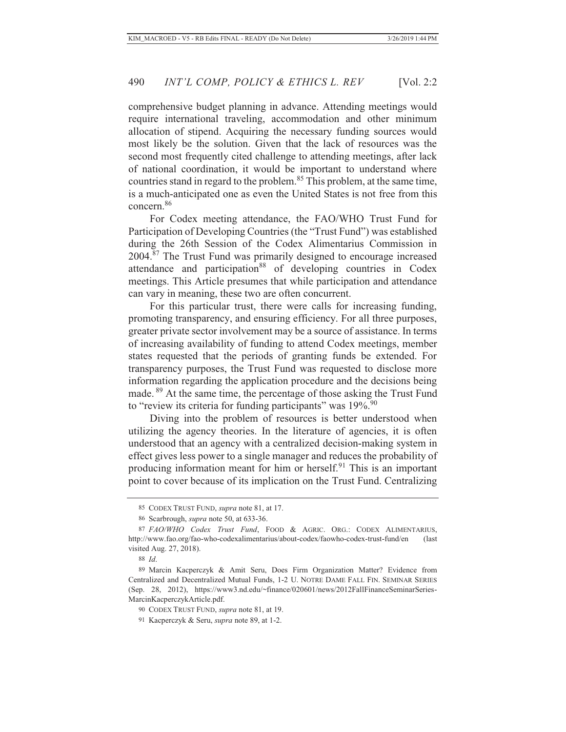comprehensive budget planning in advance. Attending meetings would require international traveling, accommodation and other minimum allocation of stipend. Acquiring the necessary funding sources would most likely be the solution. Given that the lack of resources was the second most frequently cited challenge to attending meetings, after lack of national coordination, it would be important to understand where countries stand in regard to the problem.<sup>85</sup> This problem, at the same time, is a much-anticipated one as even the United States is not free from this concern.86

For Codex meeting attendance, the FAO/WHO Trust Fund for Participation of Developing Countries (the "Trust Fund") was established during the 26th Session of the Codex Alimentarius Commission in 2004.87 The Trust Fund was primarily designed to encourage increased attendance and participation<sup>88</sup> of developing countries in Codex meetings. This Article presumes that while participation and attendance can vary in meaning, these two are often concurrent.

For this particular trust, there were calls for increasing funding, promoting transparency, and ensuring efficiency. For all three purposes, greater private sector involvement may be a source of assistance. In terms of increasing availability of funding to attend Codex meetings, member states requested that the periods of granting funds be extended. For transparency purposes, the Trust Fund was requested to disclose more information regarding the application procedure and the decisions being made. 89 At the same time, the percentage of those asking the Trust Fund to "review its criteria for funding participants" was  $19\%$ .<sup>90</sup>

Diving into the problem of resources is better understood when utilizing the agency theories. In the literature of agencies, it is often understood that an agency with a centralized decision-making system in effect gives less power to a single manager and reduces the probability of producing information meant for him or herself.<sup>91</sup> This is an important point to cover because of its implication on the Trust Fund. Centralizing

<sup>85</sup> CODEX TRUST FUND, *supra* note 81, at 17.

<sup>86</sup> Scarbrough, *supra* note 50, at 633-36.

<sup>87</sup> *FAO/WHO Codex Trust Fund*, FOOD & AGRIC. ORG.: CODEX ALIMENTARIUS, http://www.fao.org/fao-who-codexalimentarius/about-codex/faowho-codex-trust-fund/en (last visited Aug. 27, 2018).

<sup>88</sup> *Id*.

<sup>89</sup> Marcin Kacperczyk & Amit Seru, Does Firm Organization Matter? Evidence from Centralized and Decentralized Mutual Funds, 1-2 U. NOTRE DAME FALL FIN. SEMINAR SERIES (Sep. 28, 2012), https://www3.nd.edu/~finance/020601/news/2012FallFinanceSeminarSeries-MarcinKacperczykArticle.pdf.

<sup>90</sup> CODEX TRUST FUND, *supra* note 81, at 19.

<sup>91</sup> Kacperczyk & Seru, *supra* note 89, at 1-2.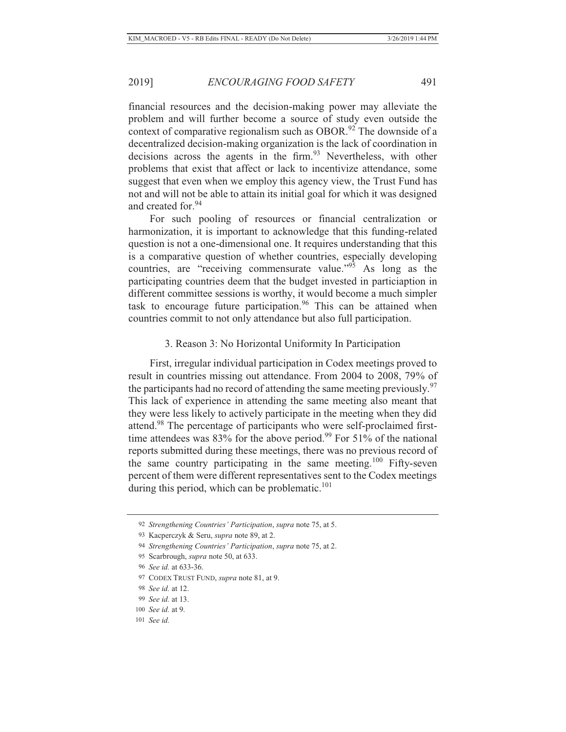financial resources and the decision-making power may alleviate the problem and will further become a source of study even outside the context of comparative regionalism such as OBOR.<sup>92</sup> The downside of a decentralized decision-making organization is the lack of coordination in decisions across the agents in the firm.<sup>93</sup> Nevertheless, with other problems that exist that affect or lack to incentivize attendance, some suggest that even when we employ this agency view, the Trust Fund has not and will not be able to attain its initial goal for which it was designed and created for.<sup>94</sup>

For such pooling of resources or financial centralization or harmonization, it is important to acknowledge that this funding-related question is not a one-dimensional one. It requires understanding that this is a comparative question of whether countries, especially developing countries, are "receiving commensurate value." $95$  As long as the participating countries deem that the budget invested in particiaption in different committee sessions is worthy, it would become a much simpler task to encourage future participation.<sup>96</sup> This can be attained when countries commit to not only attendance but also full participation.

### 3. Reason 3: No Horizontal Uniformity In Participation

First, irregular individual participation in Codex meetings proved to result in countries missing out attendance. From 2004 to 2008, 79% of the participants had no record of attending the same meeting previously.<sup>97</sup> This lack of experience in attending the same meeting also meant that they were less likely to actively participate in the meeting when they did attend.98 The percentage of participants who were self-proclaimed firsttime attendees was  $83\%$  for the above period.<sup>99</sup> For 51% of the national reports submitted during these meetings, there was no previous record of the same country participating in the same meeting.<sup>100</sup> Fifty-seven percent of them were different representatives sent to the Codex meetings during this period, which can be problematic. $101$ 

<sup>92</sup> *Strengthening Countries' Participation*, *supra* note 75, at 5.

<sup>93</sup> Kacperczyk & Seru, *supra* note 89, at 2.

<sup>94</sup> *Strengthening Countries' Participation*, *supra* note 75, at 2.

<sup>95</sup> Scarbrough, *supra* note 50, at 633.

<sup>96</sup> *See id.* at 633-36.

<sup>97</sup> CODEX TRUST FUND, *supra* note 81, at 9.

<sup>98</sup> *See id.* at 12.

<sup>99</sup> *See id.* at 13.

<sup>100</sup> *See id.* at 9.

<sup>101</sup> *See id.*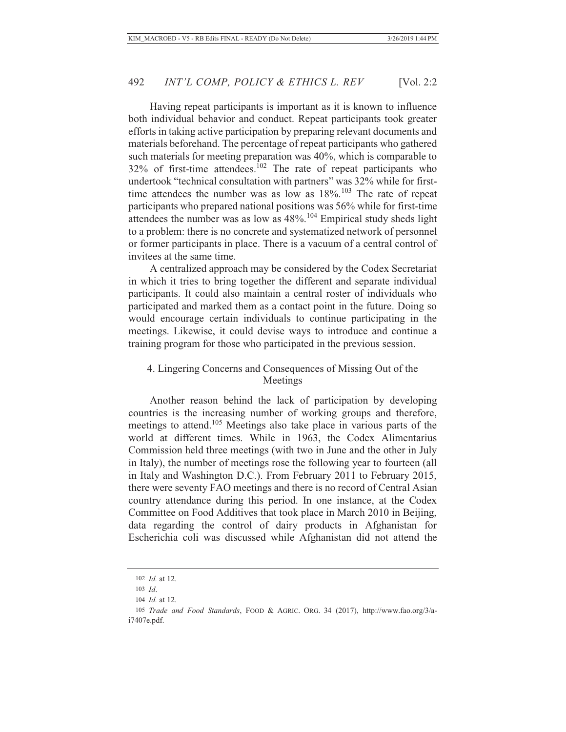Having repeat participants is important as it is known to influence both individual behavior and conduct. Repeat participants took greater efforts in taking active participation by preparing relevant documents and materials beforehand. The percentage of repeat participants who gathered such materials for meeting preparation was 40%, which is comparable to  $32\%$  of first-time attendees.<sup>102</sup> The rate of repeat participants who undertook "technical consultation with partners" was 32% while for firsttime attendees the number was as low as  $18\%$ .<sup>103</sup> The rate of repeat participants who prepared national positions was 56% while for first-time attendees the number was as low as 48%.<sup>104</sup> Empirical study sheds light to a problem: there is no concrete and systematized network of personnel or former participants in place. There is a vacuum of a central control of invitees at the same time.

A centralized approach may be considered by the Codex Secretariat in which it tries to bring together the different and separate individual participants. It could also maintain a central roster of individuals who participated and marked them as a contact point in the future. Doing so would encourage certain individuals to continue participating in the meetings. Likewise, it could devise ways to introduce and continue a training program for those who participated in the previous session.

### 4. Lingering Concerns and Consequences of Missing Out of the Meetings

Another reason behind the lack of participation by developing countries is the increasing number of working groups and therefore, meetings to attend.105 Meetings also take place in various parts of the world at different times. While in 1963, the Codex Alimentarius Commission held three meetings (with two in June and the other in July in Italy), the number of meetings rose the following year to fourteen (all in Italy and Washington D.C.). From February 2011 to February 2015, there were seventy FAO meetings and there is no record of Central Asian country attendance during this period. In one instance, at the Codex Committee on Food Additives that took place in March 2010 in Beijing, data regarding the control of dairy products in Afghanistan for Escherichia coli was discussed while Afghanistan did not attend the

<sup>102</sup> *Id.* at 12.

<sup>103</sup> *Id*.

<sup>104</sup> *Id.* at 12.

<sup>105</sup> *Trade and Food Standards*, FOOD & AGRIC. ORG. 34 (2017), http://www.fao.org/3/ai7407e.pdf.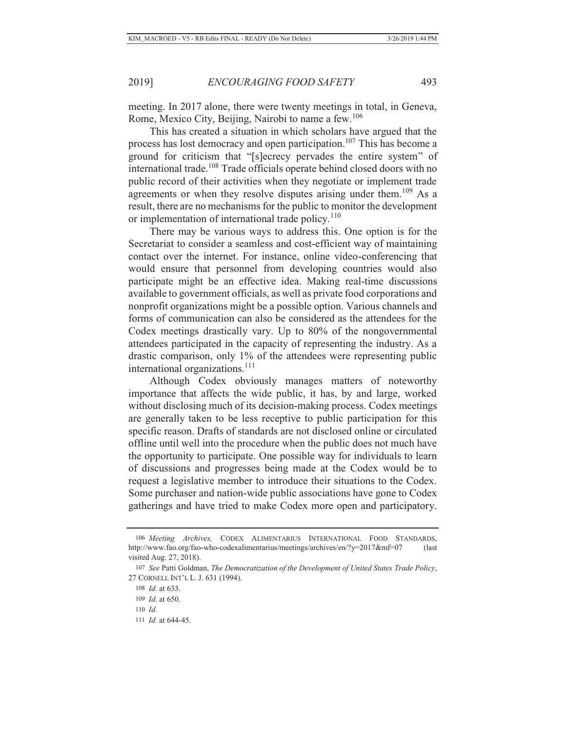meeting. In 2017 alone, there were twenty meetings in total, in Geneva, Rome, Mexico City, Beijing, Nairobi to name a few.<sup>106</sup>

This has created a situation in which scholars have argued that the process has lost democracy and open participation.<sup>107</sup> This has become a ground for criticism that "[s]ecrecy pervades the entire system" of international trade.108 Trade officials operate behind closed doors with no public record of their activities when they negotiate or implement trade agreements or when they resolve disputes arising under them.<sup>109</sup> As a result, there are no mechanisms for the public to monitor the development or implementation of international trade policy.<sup>110</sup>

There may be various ways to address this. One option is for the Secretariat to consider a seamless and cost-efficient way of maintaining contact over the internet. For instance, online video-conferencing that would ensure that personnel from developing countries would also participate might be an effective idea. Making real-time discussions available to government officials, as well as private food corporations and nonprofit organizations might be a possible option. Various channels and forms of communication can also be considered as the attendees for the Codex meetings drastically vary. Up to 80% of the nongovernmental attendees participated in the capacity of representing the industry. As a drastic comparison, only 1% of the attendees were representing public international organizations.<sup>111</sup>

Although Codex obviously manages matters of noteworthy importance that affects the wide public, it has, by and large, worked without disclosing much of its decision-making process. Codex meetings are generally taken to be less receptive to public participation for this specific reason. Drafts of standards are not disclosed online or circulated offline until well into the procedure when the public does not much have the opportunity to participate. One possible way for individuals to learn of discussions and progresses being made at the Codex would be to request a legislative member to introduce their situations to the Codex. Some purchaser and nation-wide public associations have gone to Codex gatherings and have tried to make Codex more open and participatory.

111 *Id.* at 644-45.

<sup>106</sup> *Meeting Archives,* CODEX ALIMENTARIUS INTERNATIONAL FOOD STANDARDS, http://www.fao.org/fao-who-codexalimentarius/meetings/archives/en/?y=2017&mf=07 (last visited Aug. 27, 2018).

<sup>107</sup> *See* Patti Goldman, *The Democratization of the Development of United States Trade Policy*, 27 CORNELL INT'L L. J. 631 (1994).

<sup>108</sup> *Id.* at 633.

<sup>109</sup> *Id*. at 650.

<sup>110</sup> *Id.*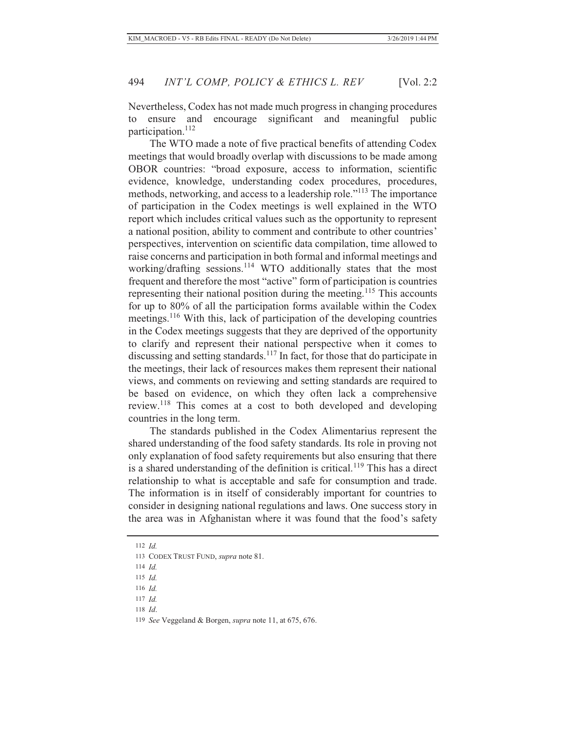Nevertheless, Codex has not made much progress in changing procedures to ensure and encourage significant and meaningful public participation.<sup>112</sup>

The WTO made a note of five practical benefits of attending Codex meetings that would broadly overlap with discussions to be made among OBOR countries: "broad exposure, access to information, scientific evidence, knowledge, understanding codex procedures, procedures, methods, networking, and access to a leadership role."113 The importance of participation in the Codex meetings is well explained in the WTO report which includes critical values such as the opportunity to represent a national position, ability to comment and contribute to other countries' perspectives, intervention on scientific data compilation, time allowed to raise concerns and participation in both formal and informal meetings and working/drafting sessions.<sup>114</sup> WTO additionally states that the most frequent and therefore the most "active" form of participation is countries representing their national position during the meeting.<sup>115</sup> This accounts for up to 80% of all the participation forms available within the Codex meetings.<sup>116</sup> With this, lack of participation of the developing countries in the Codex meetings suggests that they are deprived of the opportunity to clarify and represent their national perspective when it comes to discussing and setting standards.<sup>117</sup> In fact, for those that do participate in the meetings, their lack of resources makes them represent their national views, and comments on reviewing and setting standards are required to be based on evidence, on which they often lack a comprehensive review.118 This comes at a cost to both developed and developing countries in the long term.

The standards published in the Codex Alimentarius represent the shared understanding of the food safety standards. Its role in proving not only explanation of food safety requirements but also ensuring that there is a shared understanding of the definition is critical.<sup>119</sup> This has a direct relationship to what is acceptable and safe for consumption and trade. The information is in itself of considerably important for countries to consider in designing national regulations and laws. One success story in the area was in Afghanistan where it was found that the food's safety

112 *Id.*

- 115 *Id.*
- 116 *Id.*
- 117 *Id.*
- 118 *Id*.

<sup>113</sup> CODEX TRUST FUND, *supra* note 81.

<sup>114</sup> *Id.*

<sup>119</sup> *See* Veggeland & Borgen, *supra* note 11, at 675, 676.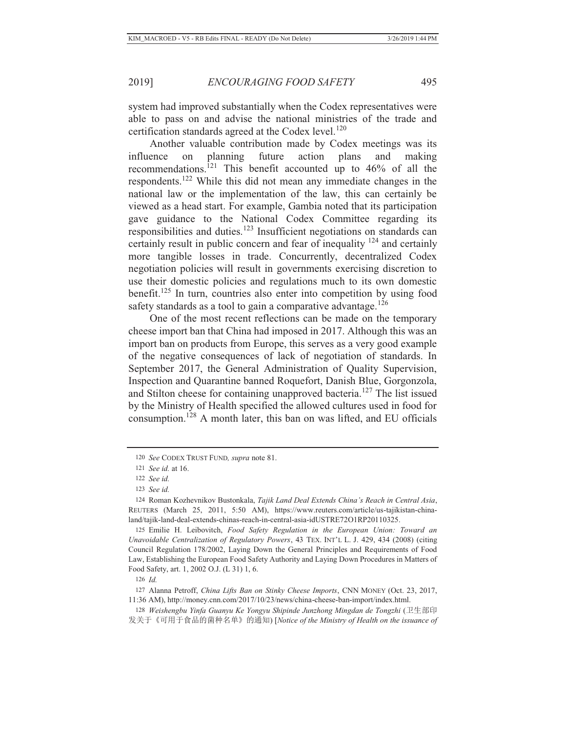system had improved substantially when the Codex representatives were able to pass on and advise the national ministries of the trade and certification standards agreed at the Codex level. $120$ 

Another valuable contribution made by Codex meetings was its influence on planning future action plans and making recommendations.<sup>121</sup> This benefit accounted up to 46% of all the respondents.122 While this did not mean any immediate changes in the national law or the implementation of the law, this can certainly be viewed as a head start. For example, Gambia noted that its participation gave guidance to the National Codex Committee regarding its responsibilities and duties.<sup>123</sup> Insufficient negotiations on standards can certainly result in public concern and fear of inequality  $^{124}$  and certainly more tangible losses in trade. Concurrently, decentralized Codex negotiation policies will result in governments exercising discretion to use their domestic policies and regulations much to its own domestic benefit.125 In turn, countries also enter into competition by using food safety standards as a tool to gain a comparative advantage.<sup>126</sup>

One of the most recent reflections can be made on the temporary cheese import ban that China had imposed in 2017. Although this was an import ban on products from Europe, this serves as a very good example of the negative consequences of lack of negotiation of standards. In September 2017, the General Administration of Quality Supervision, Inspection and Quarantine banned Roquefort, Danish Blue, Gorgonzola, and Stilton cheese for containing unapproved bacteria.<sup>127</sup> The list issued by the Ministry of Health specified the allowed cultures used in food for consumption.128 A month later, this ban on was lifted, and EU officials

125 Emilie H. Leibovitch, *Food Safety Regulation in the European Union: Toward an Unavoidable Centralization of Regulatory Powers*, 43 TEX. INT'L L. J. 429, 434 (2008) (citing Council Regulation 178/2002, Laying Down the General Principles and Requirements of Food Law, Establishing the European Food Safety Authority and Laying Down Procedures in Matters of Food Safety, art. 1, 2002 O.J. (L 31) 1, 6.

126 *Id.*

127 Alanna Petroff, *China Lifts Ban on Stinky Cheese Imports*, CNN MONEY (Oct. 23, 2017, 11:36 AM), http://money.cnn.com/2017/10/23/news/china-cheese-ban-import/index.html.

128 *Weishengbu Yinfa Guanyu Ke Yongyu Shipinde Junzhong Mingdan de Tongzhi* (卫生部印 发关于《可用于食品的菌种名单》的通知) [*Notice of the Ministry of Health on the issuance of* 

<sup>120</sup> *See* CODEX TRUST FUND*, supra* note 81.

<sup>121</sup> *See id.* at 16.

<sup>122</sup> *See id.*

<sup>123</sup> *See id.*

<sup>124</sup> Roman Kozhevnikov Bustonkala, *Tajik Land Deal Extends China's Reach in Central Asia*, REUTERS (March 25, 2011, 5:50 AM), https://www.reuters.com/article/us-tajikistan-chinaland/tajik-land-deal-extends-chinas-reach-in-central-asia-idUSTRE72O1RP20110325.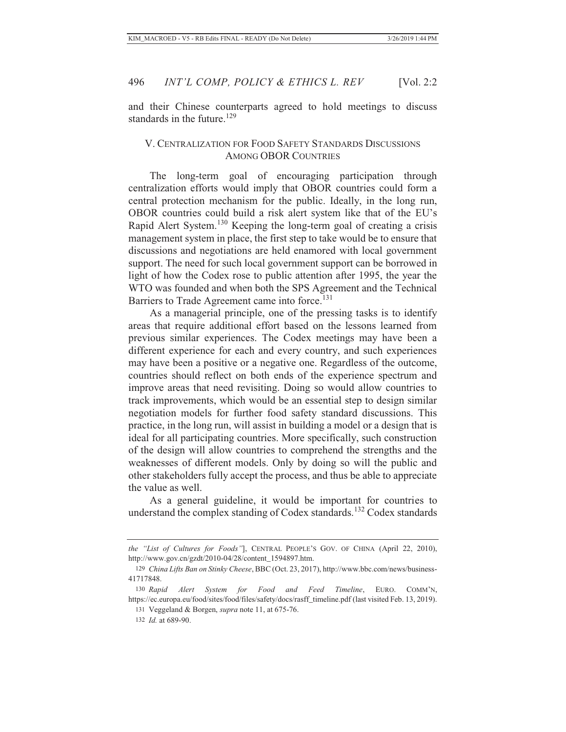and their Chinese counterparts agreed to hold meetings to discuss standards in the future.<sup>129</sup>

### V. CENTRALIZATION FOR FOOD SAFETY STANDARDS DISCUSSIONS AMONG OBOR COUNTRIES

The long-term goal of encouraging participation through centralization efforts would imply that OBOR countries could form a central protection mechanism for the public. Ideally, in the long run, OBOR countries could build a risk alert system like that of the EU's Rapid Alert System.130 Keeping the long-term goal of creating a crisis management system in place, the first step to take would be to ensure that discussions and negotiations are held enamored with local government support. The need for such local government support can be borrowed in light of how the Codex rose to public attention after 1995, the year the WTO was founded and when both the SPS Agreement and the Technical Barriers to Trade Agreement came into force.<sup>131</sup>

As a managerial principle, one of the pressing tasks is to identify areas that require additional effort based on the lessons learned from previous similar experiences. The Codex meetings may have been a different experience for each and every country, and such experiences may have been a positive or a negative one. Regardless of the outcome, countries should reflect on both ends of the experience spectrum and improve areas that need revisiting. Doing so would allow countries to track improvements, which would be an essential step to design similar negotiation models for further food safety standard discussions. This practice, in the long run, will assist in building a model or a design that is ideal for all participating countries. More specifically, such construction of the design will allow countries to comprehend the strengths and the weaknesses of different models. Only by doing so will the public and other stakeholders fully accept the process, and thus be able to appreciate the value as well.

As a general guideline, it would be important for countries to understand the complex standing of Codex standards.<sup>132</sup> Codex standards

*the "List of Cultures for Foods"*], CENTRAL PEOPLE'S GOV. OF CHINA (April 22, 2010), http://www.gov.cn/gzdt/2010-04/28/content\_1594897.htm.

<sup>129</sup> *China Lifts Ban on Stinky Cheese*, BBC (Oct. 23, 2017), http://www.bbc.com/news/business-41717848.

<sup>130</sup> *Rapid Alert System for Food and Feed Timeline*, EURO. COMM'N, https://ec.europa.eu/food/sites/food/files/safety/docs/rasff\_timeline.pdf (last visited Feb. 13, 2019).

<sup>131</sup> Veggeland & Borgen, *supra* note 11, at 675-76.

<sup>132</sup> *Id.* at 689-90.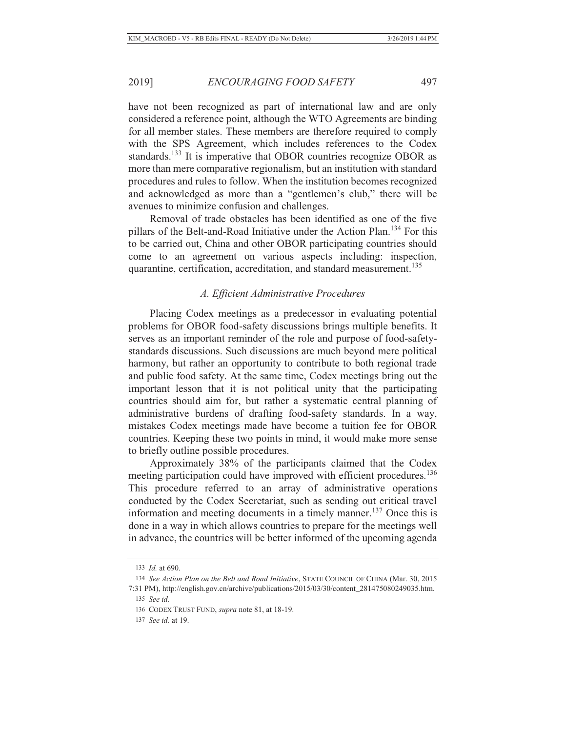have not been recognized as part of international law and are only considered a reference point, although the WTO Agreements are binding for all member states. These members are therefore required to comply with the SPS Agreement, which includes references to the Codex standards.<sup>133</sup> It is imperative that OBOR countries recognize OBOR as more than mere comparative regionalism, but an institution with standard procedures and rules to follow. When the institution becomes recognized and acknowledged as more than a "gentlemen's club," there will be avenues to minimize confusion and challenges.

Removal of trade obstacles has been identified as one of the five pillars of the Belt-and-Road Initiative under the Action Plan.<sup>134</sup> For this to be carried out, China and other OBOR participating countries should come to an agreement on various aspects including: inspection, quarantine, certification, accreditation, and standard measurement.<sup>135</sup>

#### *A. Efficient Administrative Procedures*

Placing Codex meetings as a predecessor in evaluating potential problems for OBOR food-safety discussions brings multiple benefits. It serves as an important reminder of the role and purpose of food-safetystandards discussions. Such discussions are much beyond mere political harmony, but rather an opportunity to contribute to both regional trade and public food safety. At the same time, Codex meetings bring out the important lesson that it is not political unity that the participating countries should aim for, but rather a systematic central planning of administrative burdens of drafting food-safety standards. In a way, mistakes Codex meetings made have become a tuition fee for OBOR countries. Keeping these two points in mind, it would make more sense to briefly outline possible procedures.

Approximately 38% of the participants claimed that the Codex meeting participation could have improved with efficient procedures.<sup>136</sup> This procedure referred to an array of administrative operations conducted by the Codex Secretariat, such as sending out critical travel information and meeting documents in a timely manner.<sup>137</sup> Once this is done in a way in which allows countries to prepare for the meetings well in advance, the countries will be better informed of the upcoming agenda

<sup>133</sup> *Id.* at 690.

<sup>134</sup> *See Action Plan on the Belt and Road Initiative*, STATE COUNCIL OF CHINA (Mar. 30, 2015

<sup>7:31</sup> PM), http://english.gov.cn/archive/publications/2015/03/30/content\_281475080249035.htm. 135 *See id.*

<sup>136</sup> CODEX TRUST FUND, *supra* note 81, at 18-19.

<sup>137</sup> *See id.* at 19.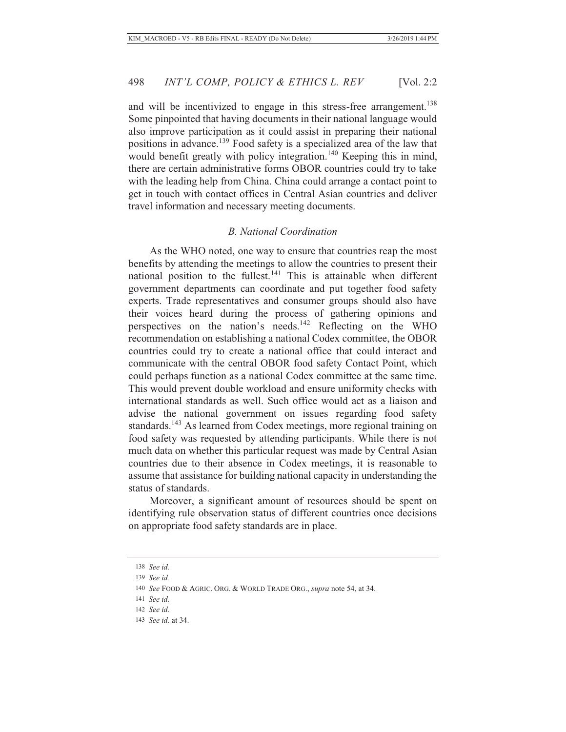and will be incentivized to engage in this stress-free arrangement.<sup>138</sup> Some pinpointed that having documents in their national language would also improve participation as it could assist in preparing their national positions in advance.<sup>139</sup> Food safety is a specialized area of the law that would benefit greatly with policy integration.<sup>140</sup> Keeping this in mind, there are certain administrative forms OBOR countries could try to take with the leading help from China. China could arrange a contact point to get in touch with contact offices in Central Asian countries and deliver travel information and necessary meeting documents.

### *B. National Coordination*

As the WHO noted, one way to ensure that countries reap the most benefits by attending the meetings to allow the countries to present their national position to the fullest.<sup>141</sup> This is attainable when different government departments can coordinate and put together food safety experts. Trade representatives and consumer groups should also have their voices heard during the process of gathering opinions and perspectives on the nation's needs.142 Reflecting on the WHO recommendation on establishing a national Codex committee, the OBOR countries could try to create a national office that could interact and communicate with the central OBOR food safety Contact Point, which could perhaps function as a national Codex committee at the same time. This would prevent double workload and ensure uniformity checks with international standards as well. Such office would act as a liaison and advise the national government on issues regarding food safety standards.<sup>143</sup> As learned from Codex meetings, more regional training on food safety was requested by attending participants. While there is not much data on whether this particular request was made by Central Asian countries due to their absence in Codex meetings, it is reasonable to assume that assistance for building national capacity in understanding the status of standards.

Moreover, a significant amount of resources should be spent on identifying rule observation status of different countries once decisions on appropriate food safety standards are in place.

<sup>138</sup> *See id.*

<sup>139</sup> *See id.*

<sup>140</sup> *See* FOOD & AGRIC. ORG. & WORLD TRADE ORG., *supra* note 54, at 34.

<sup>141</sup> *See id.*

<sup>142</sup> *See id.*

<sup>143</sup> *See id.* at 34.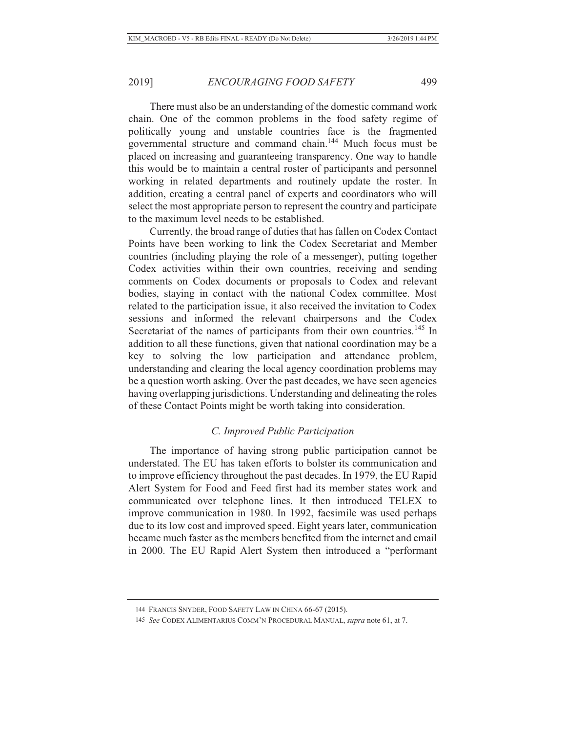There must also be an understanding of the domestic command work chain. One of the common problems in the food safety regime of politically young and unstable countries face is the fragmented governmental structure and command chain.144 Much focus must be placed on increasing and guaranteeing transparency. One way to handle this would be to maintain a central roster of participants and personnel working in related departments and routinely update the roster. In addition, creating a central panel of experts and coordinators who will select the most appropriate person to represent the country and participate to the maximum level needs to be established.

Currently, the broad range of duties that has fallen on Codex Contact Points have been working to link the Codex Secretariat and Member countries (including playing the role of a messenger), putting together Codex activities within their own countries, receiving and sending comments on Codex documents or proposals to Codex and relevant bodies, staying in contact with the national Codex committee. Most related to the participation issue, it also received the invitation to Codex sessions and informed the relevant chairpersons and the Codex Secretariat of the names of participants from their own countries.<sup>145</sup> In addition to all these functions, given that national coordination may be a key to solving the low participation and attendance problem, understanding and clearing the local agency coordination problems may be a question worth asking. Over the past decades, we have seen agencies having overlapping jurisdictions. Understanding and delineating the roles of these Contact Points might be worth taking into consideration.

## *C. Improved Public Participation*

The importance of having strong public participation cannot be understated. The EU has taken efforts to bolster its communication and to improve efficiency throughout the past decades. In 1979, the EU Rapid Alert System for Food and Feed first had its member states work and communicated over telephone lines. It then introduced TELEX to improve communication in 1980. In 1992, facsimile was used perhaps due to its low cost and improved speed. Eight years later, communication became much faster as the members benefited from the internet and email in 2000. The EU Rapid Alert System then introduced a "performant

<sup>144</sup> FRANCIS SNYDER, FOOD SAFETY LAW IN CHINA 66-67 (2015).

<sup>145</sup> *See* CODEX ALIMENTARIUS COMM'N PROCEDURAL MANUAL, *supra* note 61, at 7.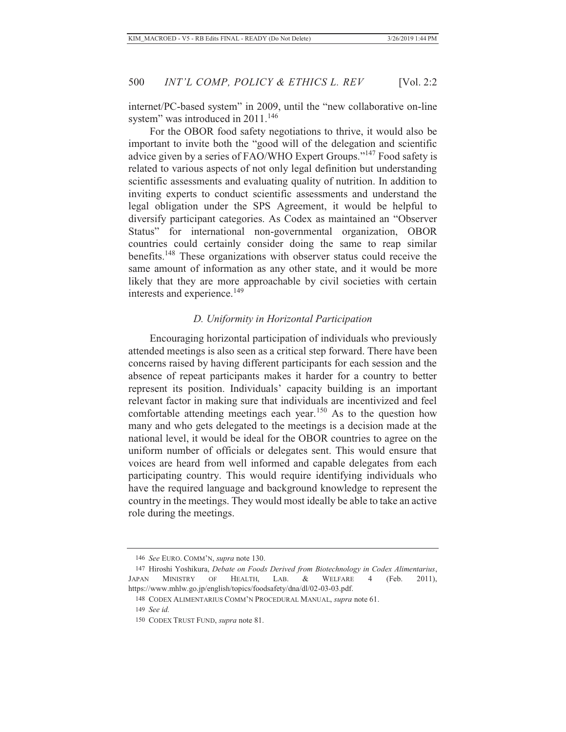internet/PC-based system" in 2009, until the "new collaborative on-line system" was introduced in 2011.<sup>146</sup>

For the OBOR food safety negotiations to thrive, it would also be important to invite both the "good will of the delegation and scientific advice given by a series of FAO/WHO Expert Groups."147 Food safety is related to various aspects of not only legal definition but understanding scientific assessments and evaluating quality of nutrition. In addition to inviting experts to conduct scientific assessments and understand the legal obligation under the SPS Agreement, it would be helpful to diversify participant categories. As Codex as maintained an "Observer Status" for international non-governmental organization, OBOR countries could certainly consider doing the same to reap similar benefits.148 These organizations with observer status could receive the same amount of information as any other state, and it would be more likely that they are more approachable by civil societies with certain interests and experience.<sup>149</sup>

### *D. Uniformity in Horizontal Participation*

Encouraging horizontal participation of individuals who previously attended meetings is also seen as a critical step forward. There have been concerns raised by having different participants for each session and the absence of repeat participants makes it harder for a country to better represent its position. Individuals' capacity building is an important relevant factor in making sure that individuals are incentivized and feel comfortable attending meetings each year.<sup>150</sup> As to the question how many and who gets delegated to the meetings is a decision made at the national level, it would be ideal for the OBOR countries to agree on the uniform number of officials or delegates sent. This would ensure that voices are heard from well informed and capable delegates from each participating country. This would require identifying individuals who have the required language and background knowledge to represent the country in the meetings. They would most ideally be able to take an active role during the meetings.

<sup>146</sup> *See* EURO. COMM'N, *supra* note 130.

<sup>147</sup> Hiroshi Yoshikura, *Debate on Foods Derived from Biotechnology in Codex Alimentarius*, JAPAN MINISTRY OF HEALTH, LAB. & WELFARE 4 (Feb. 2011), https://www.mhlw.go.jp/english/topics/foodsafety/dna/dl/02-03-03.pdf.

<sup>148</sup> CODEX ALIMENTARIUS COMM'N PROCEDURAL MANUAL, *supra* note 61.

<sup>149</sup> *See id.*

<sup>150</sup> CODEX TRUST FUND, *supra* note 81.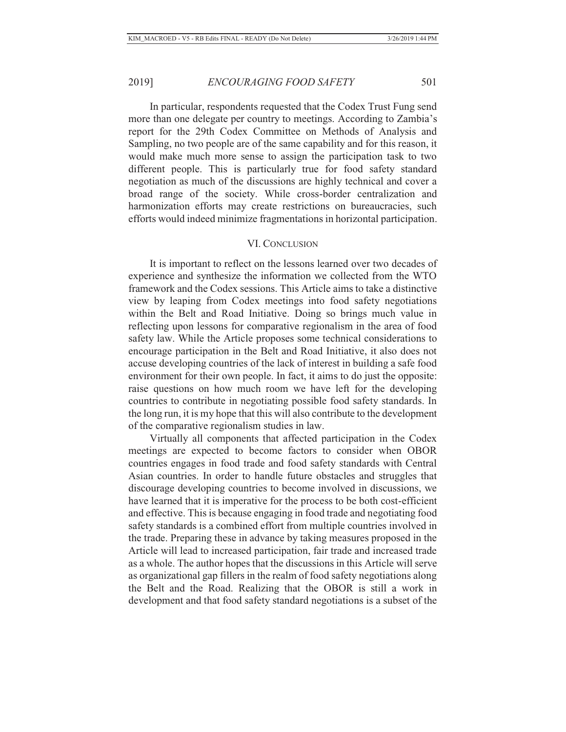In particular, respondents requested that the Codex Trust Fung send more than one delegate per country to meetings. According to Zambia's report for the 29th Codex Committee on Methods of Analysis and Sampling, no two people are of the same capability and for this reason, it would make much more sense to assign the participation task to two different people. This is particularly true for food safety standard negotiation as much of the discussions are highly technical and cover a broad range of the society. While cross-border centralization and harmonization efforts may create restrictions on bureaucracies, such efforts would indeed minimize fragmentations in horizontal participation.

#### VI. CONCLUSION

It is important to reflect on the lessons learned over two decades of experience and synthesize the information we collected from the WTO framework and the Codex sessions. This Article aims to take a distinctive view by leaping from Codex meetings into food safety negotiations within the Belt and Road Initiative. Doing so brings much value in reflecting upon lessons for comparative regionalism in the area of food safety law. While the Article proposes some technical considerations to encourage participation in the Belt and Road Initiative, it also does not accuse developing countries of the lack of interest in building a safe food environment for their own people. In fact, it aims to do just the opposite: raise questions on how much room we have left for the developing countries to contribute in negotiating possible food safety standards. In the long run, it is my hope that this will also contribute to the development of the comparative regionalism studies in law.

Virtually all components that affected participation in the Codex meetings are expected to become factors to consider when OBOR countries engages in food trade and food safety standards with Central Asian countries. In order to handle future obstacles and struggles that discourage developing countries to become involved in discussions, we have learned that it is imperative for the process to be both cost-efficient and effective. This is because engaging in food trade and negotiating food safety standards is a combined effort from multiple countries involved in the trade. Preparing these in advance by taking measures proposed in the Article will lead to increased participation, fair trade and increased trade as a whole. The author hopes that the discussions in this Article will serve as organizational gap fillers in the realm of food safety negotiations along the Belt and the Road. Realizing that the OBOR is still a work in development and that food safety standard negotiations is a subset of the